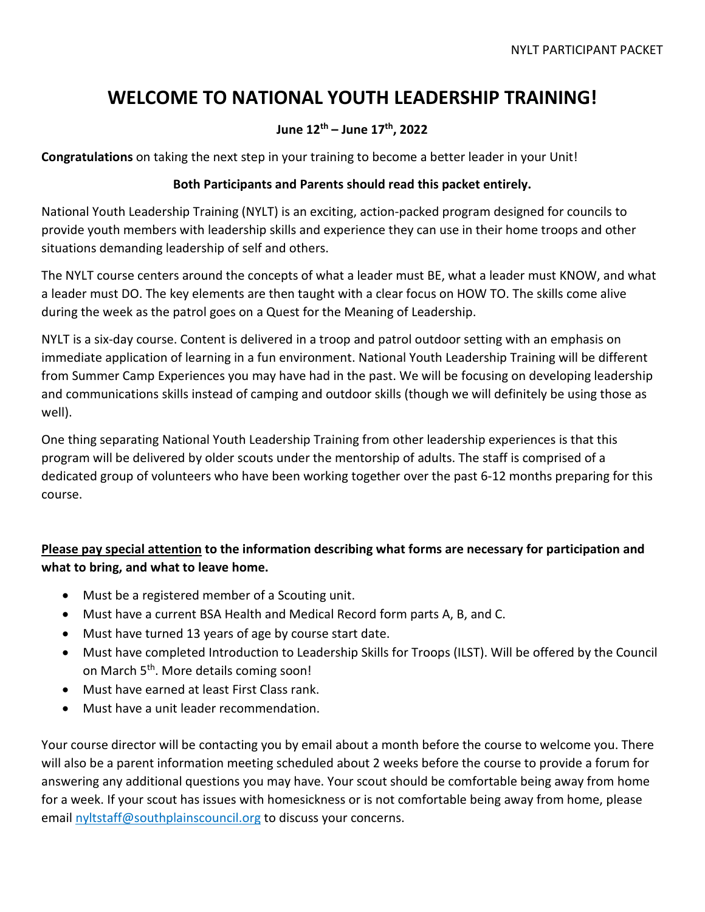## **WELCOME TO NATIONAL YOUTH LEADERSHIP TRAINING!**

#### **June 12th – June 17th, 2022**

**Congratulations** on taking the next step in your training to become a better leader in your Unit!

#### **Both Participants and Parents should read this packet entirely.**

National Youth Leadership Training (NYLT) is an exciting, action-packed program designed for councils to provide youth members with leadership skills and experience they can use in their home troops and other situations demanding leadership of self and others.

The NYLT course centers around the concepts of what a leader must BE, what a leader must KNOW, and what a leader must DO. The key elements are then taught with a clear focus on HOW TO. The skills come alive during the week as the patrol goes on a Quest for the Meaning of Leadership.

NYLT is a six-day course. Content is delivered in a troop and patrol outdoor setting with an emphasis on immediate application of learning in a fun environment. National Youth Leadership Training will be different from Summer Camp Experiences you may have had in the past. We will be focusing on developing leadership and communications skills instead of camping and outdoor skills (though we will definitely be using those as well).

One thing separating National Youth Leadership Training from other leadership experiences is that this program will be delivered by older scouts under the mentorship of adults. The staff is comprised of a dedicated group of volunteers who have been working together over the past 6-12 months preparing for this course.

### **Please pay special attention to the information describing what forms are necessary for participation and what to bring, and what to leave home.**

- Must be a registered member of a Scouting unit.
- Must have a current BSA Health and Medical Record form parts A, B, and C.
- Must have turned 13 years of age by course start date.
- Must have completed Introduction to Leadership Skills for Troops (ILST). Will be offered by the Council on March 5<sup>th</sup>. More details coming soon!
- Must have earned at least First Class rank.
- Must have a unit leader recommendation.

Your course director will be contacting you by email about a month before the course to welcome you. There will also be a parent information meeting scheduled about 2 weeks before the course to provide a forum for answering any additional questions you may have. Your scout should be comfortable being away from home for a week. If your scout has issues with homesickness or is not comfortable being away from home, please email nyltstaff@southplainscouncil.org to discuss your concerns.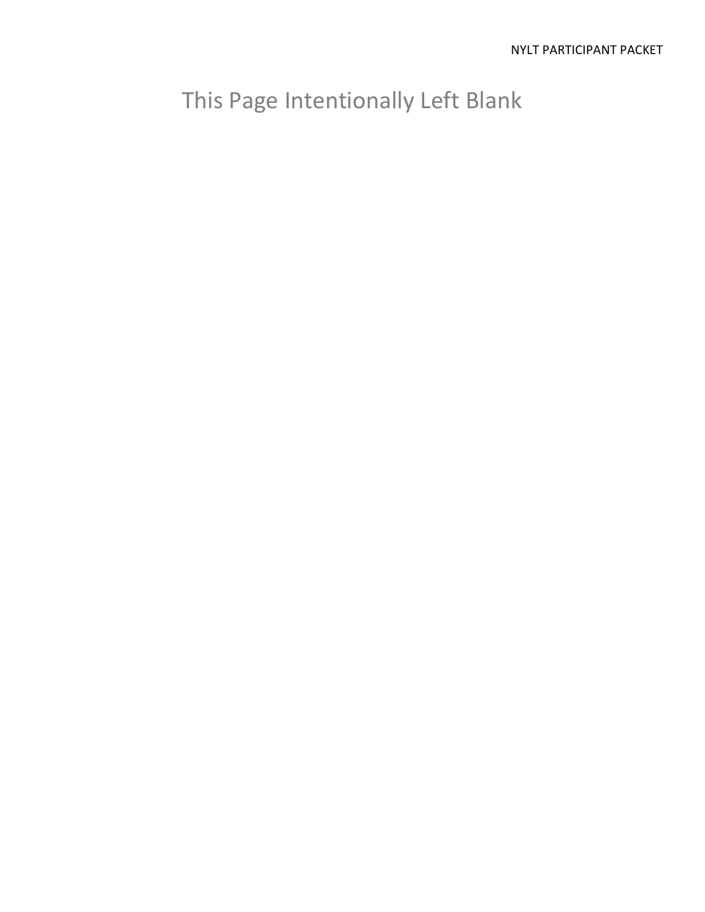This Page Intentionally Left Blank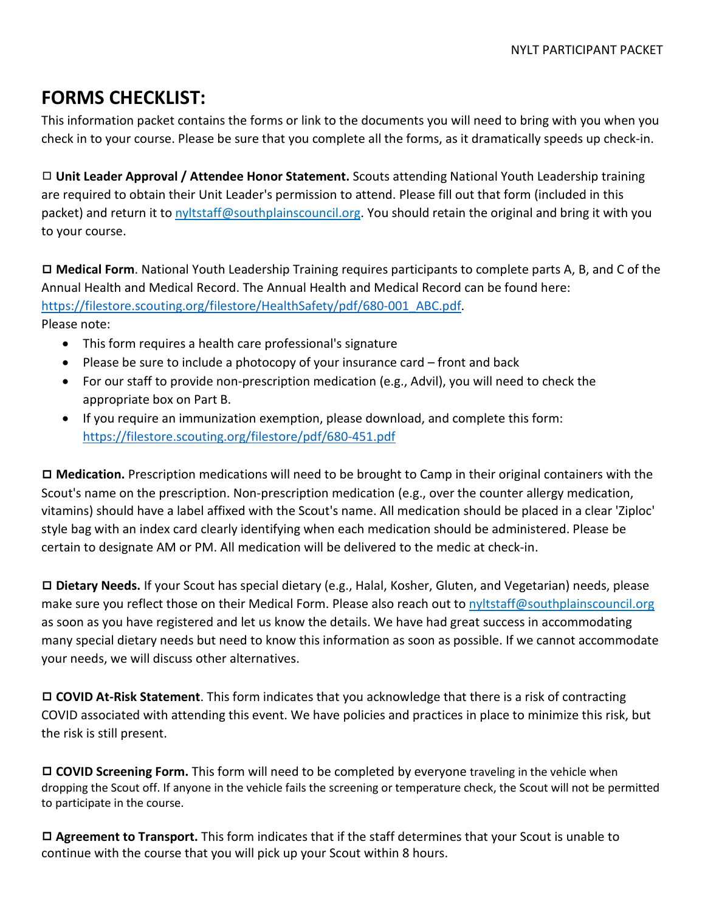# **FORMS CHECKLIST:**

This information packet contains the forms or link to the documents you will need to bring with you when you check in to your course. Please be sure that you complete all the forms, as it dramatically speeds up check-in.

◻ **Unit Leader Approval / Attendee Honor Statement.** Scouts attending National Youth Leadership training are required to obtain their Unit Leader's permission to attend. Please fill out that form (included in this packet) and return it to nyltstaff@southplainscouncil.org. You should retain the original and bring it with you to your course.

◻ **Medical Form**. National Youth Leadership Training requires participants to complete parts A, B, and C of the Annual Health and Medical Record. The Annual Health and Medical Record can be found here: [https://filestore.scouting.org/filestore/HealthSafety/pdf/680-001\\_ABC.pdf.](https://filestore.scouting.org/filestore/HealthSafety/pdf/680-001_ABC.pdf) Please note:

- This form requires a health care professional's signature
- Please be sure to include a photocopy of your insurance card front and back
- For our staff to provide non-prescription medication (e.g., Advil), you will need to check the appropriate box on Part B.
- If you require an immunization exemption, please download, and complete this form: <https://filestore.scouting.org/filestore/pdf/680-451.pdf>

◻ **Medication.** Prescription medications will need to be brought to Camp in their original containers with the Scout's name on the prescription. Non-prescription medication (e.g., over the counter allergy medication, vitamins) should have a label affixed with the Scout's name. All medication should be placed in a clear 'Ziploc' style bag with an index card clearly identifying when each medication should be administered. Please be certain to designate AM or PM. All medication will be delivered to the medic at check-in.

◻ **Dietary Needs.** If your Scout has special dietary (e.g., Halal, Kosher, Gluten, and Vegetarian) needs, please make sure you reflect those on their Medical Form. Please also reach out to nyltstaff@southplainscouncil.org as soon as you have registered and let us know the details. We have had great success in accommodating many special dietary needs but need to know this information as soon as possible. If we cannot accommodate your needs, we will discuss other alternatives.

◻ **COVID At-Risk Statement**. This form indicates that you acknowledge that there is a risk of contracting COVID associated with attending this event. We have policies and practices in place to minimize this risk, but the risk is still present.

◻ **COVID Screening Form.** This form will need to be completed by everyone traveling in the vehicle when dropping the Scout off. If anyone in the vehicle fails the screening or temperature check, the Scout will not be permitted to participate in the course.

◻ **Agreement to Transport.** This form indicates that if the staff determines that your Scout is unable to continue with the course that you will pick up your Scout within 8 hours.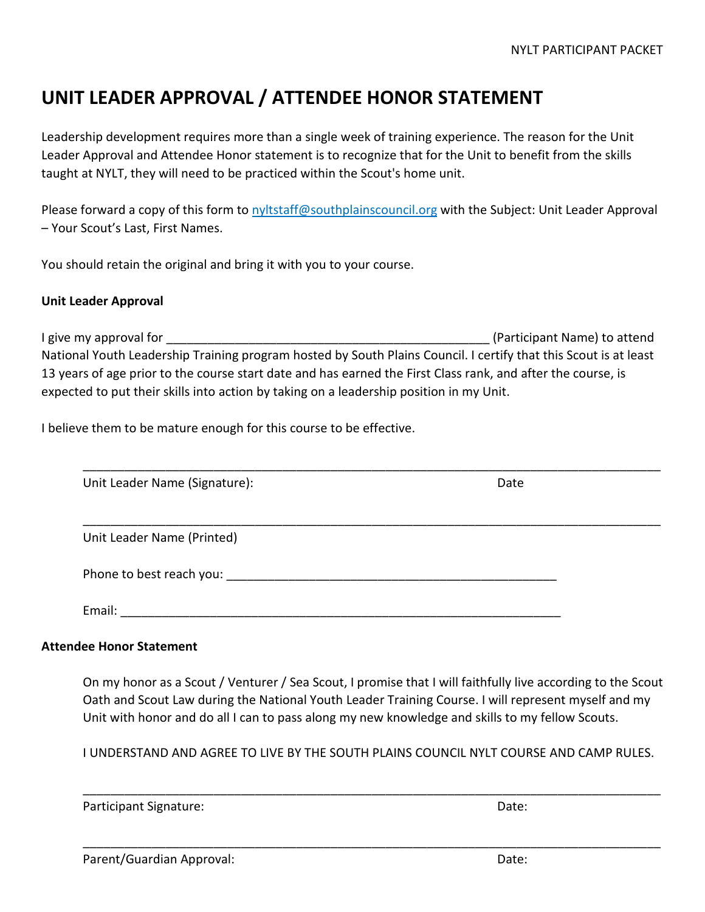## **UNIT LEADER APPROVAL / ATTENDEE HONOR STATEMENT**

Leadership development requires more than a single week of training experience. The reason for the Unit Leader Approval and Attendee Honor statement is to recognize that for the Unit to benefit from the skills taught at NYLT, they will need to be practiced within the Scout's home unit.

Please forward a copy of this form to nyltstaff@southplainscouncil.org with the Subject: Unit Leader Approval – Your Scout's Last, First Names.

You should retain the original and bring it with you to your course.

#### **Unit Leader Approval**

I give my approval for **the contract of the contract of the contract of the contract of the contract of the contract of the contract of the contract of the contract of the contract of the contract of the contract of the co** National Youth Leadership Training program hosted by South Plains Council. I certify that this Scout is at least 13 years of age prior to the course start date and has earned the First Class rank, and after the course, is expected to put their skills into action by taking on a leadership position in my Unit.

I believe them to be mature enough for this course to be effective.

\_\_\_\_\_\_\_\_\_\_\_\_\_\_\_\_\_\_\_\_\_\_\_\_\_\_\_\_\_\_\_\_\_\_\_\_\_\_\_\_\_\_\_\_\_\_\_\_\_\_\_\_\_\_\_\_\_\_\_\_\_\_\_\_\_\_\_\_\_\_\_\_\_\_\_\_\_\_\_\_\_\_\_\_ Unit Leader Name (Signature): Date \_\_\_\_\_\_\_\_\_\_\_\_\_\_\_\_\_\_\_\_\_\_\_\_\_\_\_\_\_\_\_\_\_\_\_\_\_\_\_\_\_\_\_\_\_\_\_\_\_\_\_\_\_\_\_\_\_\_\_\_\_\_\_\_\_\_\_\_\_\_\_\_\_\_\_\_\_\_\_\_\_\_\_\_ Unit Leader Name (Printed) Phone to best reach you: \_\_\_\_\_\_\_\_\_\_\_\_\_\_\_\_\_\_\_\_\_\_\_\_\_\_\_\_\_\_\_\_\_\_\_\_\_\_\_\_\_\_\_\_\_\_\_\_

Email: \_\_\_\_\_\_\_\_\_\_\_\_\_\_\_\_\_\_\_\_\_\_\_\_\_\_\_\_\_\_\_\_\_\_\_\_\_\_\_\_\_\_\_\_\_\_\_\_\_\_\_\_\_\_\_\_\_\_\_\_\_\_\_\_

#### **Attendee Honor Statement**

On my honor as a Scout / Venturer / Sea Scout, I promise that I will faithfully live according to the Scout Oath and Scout Law during the National Youth Leader Training Course. I will represent myself and my Unit with honor and do all I can to pass along my new knowledge and skills to my fellow Scouts.

I UNDERSTAND AND AGREE TO LIVE BY THE SOUTH PLAINS COUNCIL NYLT COURSE AND CAMP RULES.

\_\_\_\_\_\_\_\_\_\_\_\_\_\_\_\_\_\_\_\_\_\_\_\_\_\_\_\_\_\_\_\_\_\_\_\_\_\_\_\_\_\_\_\_\_\_\_\_\_\_\_\_\_\_\_\_\_\_\_\_\_\_\_\_\_\_\_\_\_\_\_\_\_\_\_\_\_\_\_\_\_\_\_\_

\_\_\_\_\_\_\_\_\_\_\_\_\_\_\_\_\_\_\_\_\_\_\_\_\_\_\_\_\_\_\_\_\_\_\_\_\_\_\_\_\_\_\_\_\_\_\_\_\_\_\_\_\_\_\_\_\_\_\_\_\_\_\_\_\_\_\_\_\_\_\_\_\_\_\_\_\_\_\_\_\_\_\_\_

| Participant Signature: | Date: |
|------------------------|-------|
|------------------------|-------|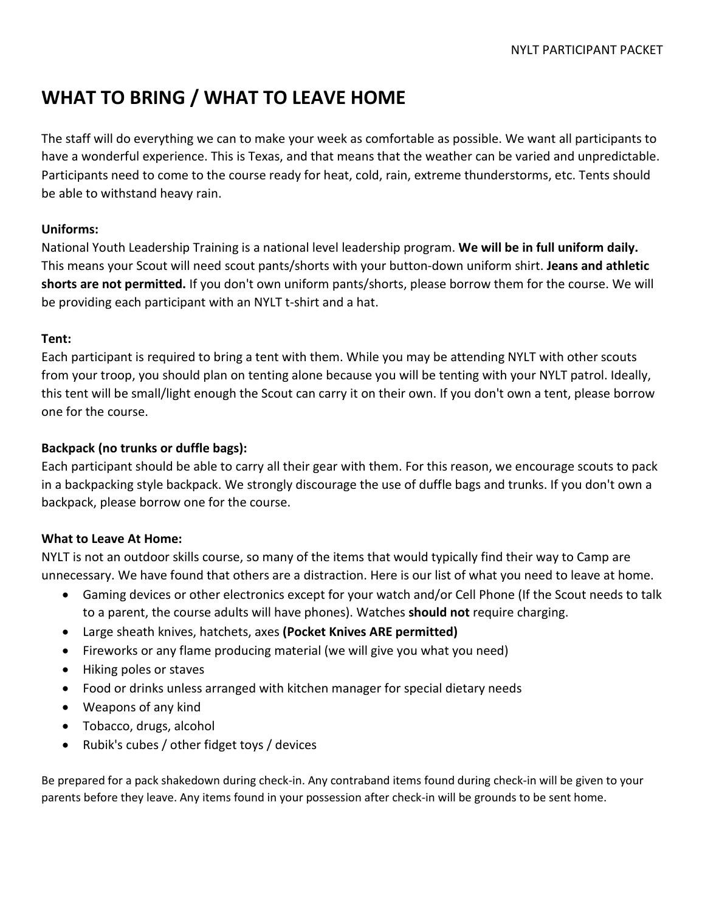# **WHAT TO BRING / WHAT TO LEAVE HOME**

The staff will do everything we can to make your week as comfortable as possible. We want all participants to have a wonderful experience. This is Texas, and that means that the weather can be varied and unpredictable. Participants need to come to the course ready for heat, cold, rain, extreme thunderstorms, etc. Tents should be able to withstand heavy rain.

#### **Uniforms:**

National Youth Leadership Training is a national level leadership program. **We will be in full uniform daily.**  This means your Scout will need scout pants/shorts with your button-down uniform shirt. **Jeans and athletic shorts are not permitted.** If you don't own uniform pants/shorts, please borrow them for the course. We will be providing each participant with an NYLT t-shirt and a hat.

#### **Tent:**

Each participant is required to bring a tent with them. While you may be attending NYLT with other scouts from your troop, you should plan on tenting alone because you will be tenting with your NYLT patrol. Ideally, this tent will be small/light enough the Scout can carry it on their own. If you don't own a tent, please borrow one for the course.

#### **Backpack (no trunks or duffle bags):**

Each participant should be able to carry all their gear with them. For this reason, we encourage scouts to pack in a backpacking style backpack. We strongly discourage the use of duffle bags and trunks. If you don't own a backpack, please borrow one for the course.

#### **What to Leave At Home:**

NYLT is not an outdoor skills course, so many of the items that would typically find their way to Camp are unnecessary. We have found that others are a distraction. Here is our list of what you need to leave at home.

- Gaming devices or other electronics except for your watch and/or Cell Phone (If the Scout needs to talk to a parent, the course adults will have phones). Watches **should not** require charging.
- Large sheath knives, hatchets, axes **(Pocket Knives ARE permitted)**
- Fireworks or any flame producing material (we will give you what you need)
- Hiking poles or staves
- Food or drinks unless arranged with kitchen manager for special dietary needs
- Weapons of any kind
- Tobacco, drugs, alcohol
- Rubik's cubes / other fidget toys / devices

Be prepared for a pack shakedown during check-in. Any contraband items found during check-in will be given to your parents before they leave. Any items found in your possession after check-in will be grounds to be sent home.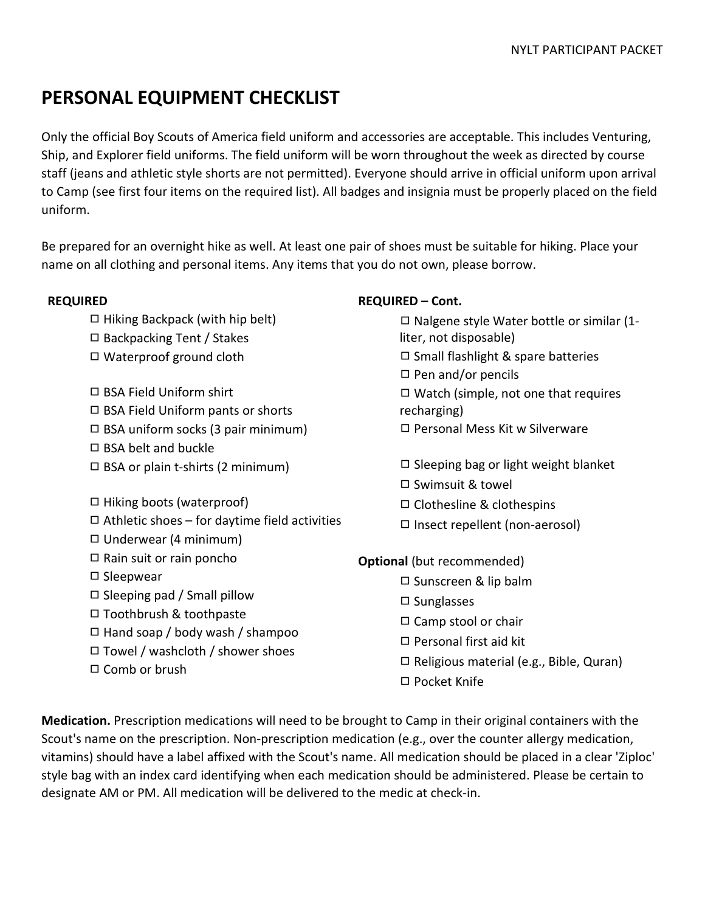# **PERSONAL EQUIPMENT CHECKLIST**

Only the official Boy Scouts of America field uniform and accessories are acceptable. This includes Venturing, Ship, and Explorer field uniforms. The field uniform will be worn throughout the week as directed by course staff (jeans and athletic style shorts are not permitted). Everyone should arrive in official uniform upon arrival to Camp (see first four items on the required list). All badges and insignia must be properly placed on the field uniform.

Be prepared for an overnight hike as well. At least one pair of shoes must be suitable for hiking. Place your name on all clothing and personal items. Any items that you do not own, please borrow.

#### **REQUIRED**

- $\Box$  Hiking Backpack (with hip belt)
- ◻ Backpacking Tent / Stakes
- ◻ Waterproof ground cloth
- ◻ BSA Field Uniform shirt
- ◻ BSA Field Uniform pants or shorts
- $\Box$  BSA uniform socks (3 pair minimum)
- ◻ BSA belt and buckle
- $\Box$  BSA or plain t-shirts (2 minimum)
- ◻ Hiking boots (waterproof)
- $\Box$  Athletic shoes for daytime field activities
- $\Box$  Underwear (4 minimum)
- ◻ Rain suit or rain poncho
- ◻ Sleepwear
- $\Box$  Sleeping pad / Small pillow
- ◻ Toothbrush & toothpaste
- $\Box$  Hand soap / body wash / shampoo
- ◻ Towel / washcloth / shower shoes
- ◻ Comb or brush

### **REQUIRED – Cont.**

◻ Nalgene style Water bottle or similar (1 liter, not disposable) ◻ Small flashlight & spare batteries ◻ Pen and/or pencils ◻ Watch (simple, not one that requires recharging) ◻ Personal Mess Kit w Silverware  $\Box$  Sleeping bag or light weight blanket ◻ Swimsuit & towel ◻ Clothesline & clothespins ◻ Insect repellent (non-aerosol) **Optional (but recommended)** ◻ Sunscreen & lip balm ◻ Sunglasses ◻ Camp stool or chair ◻ Personal first aid kit ◻ Religious material (e.g., Bible, Quran) ◻ Pocket Knife

**Medication.** Prescription medications will need to be brought to Camp in their original containers with the Scout's name on the prescription. Non-prescription medication (e.g., over the counter allergy medication, vitamins) should have a label affixed with the Scout's name. All medication should be placed in a clear 'Ziploc' style bag with an index card identifying when each medication should be administered. Please be certain to designate AM or PM. All medication will be delivered to the medic at check-in.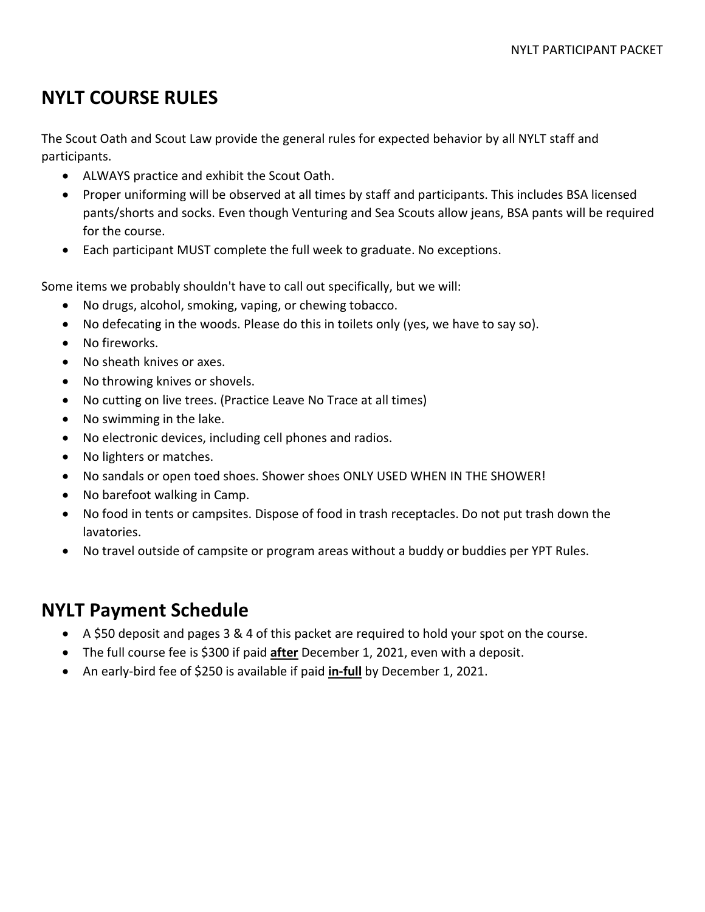## **NYLT COURSE RULES**

The Scout Oath and Scout Law provide the general rules for expected behavior by all NYLT staff and participants.

- ALWAYS practice and exhibit the Scout Oath.
- Proper uniforming will be observed at all times by staff and participants. This includes BSA licensed pants/shorts and socks. Even though Venturing and Sea Scouts allow jeans, BSA pants will be required for the course.
- Each participant MUST complete the full week to graduate. No exceptions.

Some items we probably shouldn't have to call out specifically, but we will:

- No drugs, alcohol, smoking, vaping, or chewing tobacco.
- No defecating in the woods. Please do this in toilets only (yes, we have to say so).
- No fireworks.
- No sheath knives or axes.
- No throwing knives or shovels.
- No cutting on live trees. (Practice Leave No Trace at all times)
- No swimming in the lake.
- No electronic devices, including cell phones and radios.
- No lighters or matches.
- No sandals or open toed shoes. Shower shoes ONLY USED WHEN IN THE SHOWER!
- No barefoot walking in Camp.
- No food in tents or campsites. Dispose of food in trash receptacles. Do not put trash down the lavatories.
- No travel outside of campsite or program areas without a buddy or buddies per YPT Rules.

### **NYLT Payment Schedule**

- A \$50 deposit and pages 3 & 4 of this packet are required to hold your spot on the course.
- The full course fee is \$300 if paid **after** December 1, 2021, even with a deposit.
- An early-bird fee of \$250 is available if paid **in-full** by December 1, 2021.